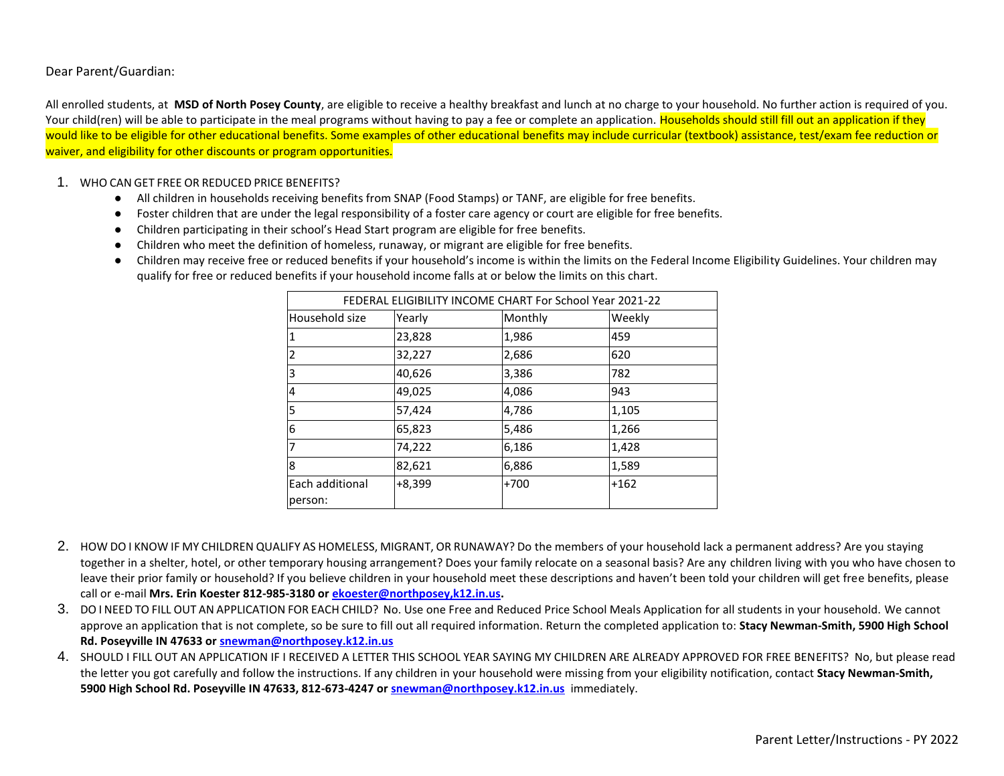Dear Parent/Guardian:

All enrolled students, at **MSD of North Posey County**, are eligible to receive a healthy breakfast and lunch at no charge to your household. No further action is required of you. Your child(ren) will be able to participate in the meal programs without having to pay a fee or complete an application. Households should still fill out an application if they would like to be eligible for other educational benefits. Some examples of other educational benefits may include curricular (textbook) assistance, test/exam fee reduction or waiver, and eligibility for other discounts or program opportunities.

#### 1. WHO CAN GET FREE OR REDUCED PRICE BENEFITS?

- All children in households receiving benefits from SNAP (Food Stamps) or TANF, are eligible for free benefits.
- Foster children that are under the legal responsibility of a foster care agency or court are eligible for free benefits.
- Children participating in their school's Head Start program are eligible for free benefits.
- Children who meet the definition of homeless, runaway, or migrant are eligible for free benefits.
- Children may receive free or reduced benefits if your household's income is within the limits on the Federal Income Eligibility Guidelines. Your children may qualify for free or reduced benefits if your household income falls at or below the limits on this chart.

| FEDERAL ELIGIBILITY INCOME CHART For School Year 2021-22 |          |         |        |
|----------------------------------------------------------|----------|---------|--------|
| Household size                                           | Yearly   | Monthly | Weekly |
|                                                          | 23,828   | 1,986   | 459    |
| 2                                                        | 32,227   | 2,686   | 620    |
| 3                                                        | 40,626   | 3,386   | 782    |
| 4                                                        | 49,025   | 4,086   | 943    |
| 5                                                        | 57,424   | 4,786   | 1,105  |
| 6                                                        | 65,823   | 5,486   | 1,266  |
| 7                                                        | 74,222   | 6,186   | 1,428  |
| 8                                                        | 82,621   | 6,886   | 1,589  |
| Each additional                                          | $+8,399$ | $+700$  | $+162$ |
| person:                                                  |          |         |        |

- 2. HOW DO I KNOW IF MY CHILDREN QUALIFY AS HOMELESS, MIGRANT, OR RUNAWAY? Do the members of your household lack a permanent address? Are you staying together in a shelter, hotel, or other temporary housing arrangement? Does your family relocate on a seasonal basis? Are any children living with you who have chosen to leave their prior family or household? If you believe children in your household meet these descriptions and haven't been told your children will get free benefits, please call or e-mail **Mrs. Erin Koester 812-985-3180 or [ekoester@northposey,k12.in.us.](mailto:ekoester@northposey,k12.in.us)**
- 3. DO I NEED TO FILL OUT AN APPLICATION FOR EACH CHILD? No. Use one Free and Reduced Price School Meals Application for all students in your household. We cannot approve an application that is not complete, so be sure to fill out all required information. Return the completed application to: **Stacy Newman-Smith, 5900 High School Rd. Poseyville IN 47633 or [snewman@northposey.k12.in.us](mailto:snewman@northposey.k12.in.us)**
- 4. SHOULD I FILL OUT AN APPLICATION IF I RECEIVED A LETTER THIS SCHOOL YEAR SAYING MY CHILDREN ARE ALREADY APPROVED FOR FREE BENEFITS? No, but please read the letter you got carefully and follow the instructions. If any children in your household were missing from your eligibility notification, contact **Stacy Newman-Smith, 5900 High School Rd. Poseyville IN 47633, 812-673-4247 o[r snewman@northposey.k12.in.us](mailto:snewman@northposey.k12.in.us)** immediately.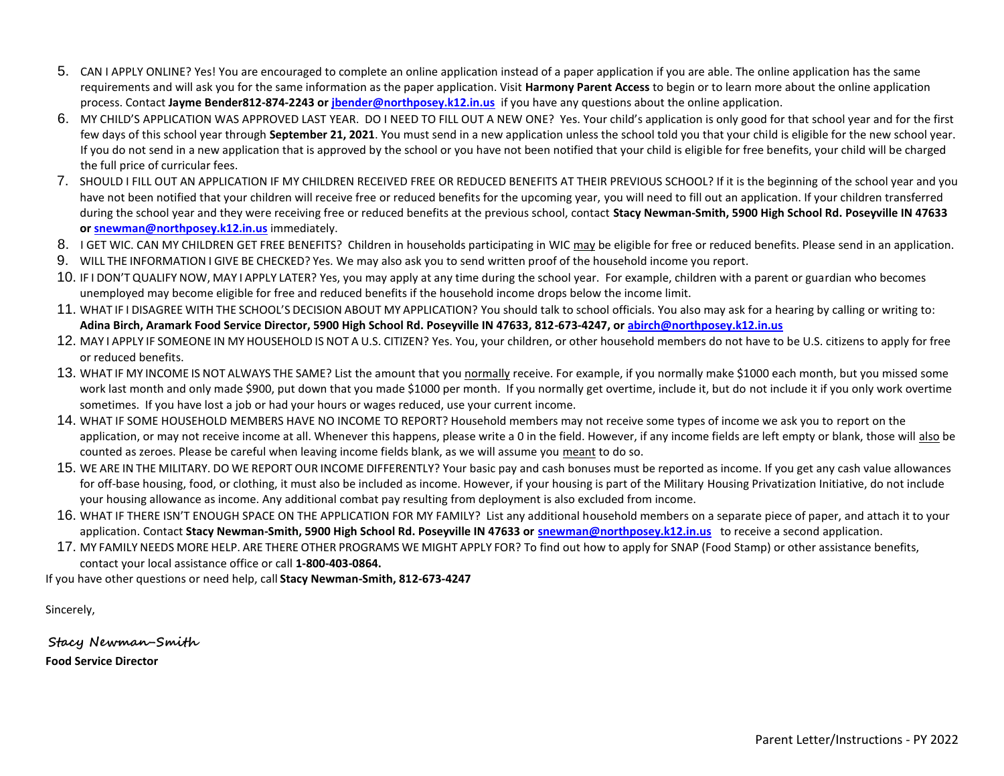- 5. CAN I APPLY ONLINE? Yes! You are encouraged to complete an online application instead of a paper application if you are able. The online application has the same requirements and will ask you for the same information as the paper application. Visit **Harmony Parent Access** to begin or to learn more about the online application process. Contact **Jayme Bender812-874-2243 o[r jbender@northposey.k12.in.us](mailto:jbender@northposey.k12.in.us)** if you have any questions about the online application.
- 6. MY CHILD'S APPLICATION WAS APPROVED LAST YEAR. DO I NEED TO FILL OUT A NEW ONE? Yes. Your child's application is only good for that school year and for the first few days of this school year through **September 21, 2021**. You must send in a new application unless the school told you that your child is eligible for the new school year. If you do not send in a new application that is approved by the school or you have not been notified that your child is eligible for free benefits, your child will be charged the full price of curricular fees.
- 7. SHOULD I FILL OUT AN APPLICATION IF MY CHILDREN RECEIVED FREE OR REDUCED BENEFITS AT THEIR PREVIOUS SCHOOL? If it is the beginning of the school year and you have not been notified that your children will receive free or reduced benefits for the upcoming year, you will need to fill out an application. If your children transferred during the school year and they were receiving free or reduced benefits at the previous school, contact **Stacy Newman-Smith, 5900 High School Rd. Poseyville IN 47633 or [snewman@northposey.k12.in.us](mailto:snewman@northposey.k12.in.us)** immediately.
- 8. I GET WIC. CAN MY CHILDREN GET FREE BENEFITS? Children in households participating in WIC may be eligible for free or reduced benefits. Please send in an application.
- 9. WILL THE INFORMATION I GIVE BE CHECKED? Yes. We may also ask you to send written proof of the household income you report.
- 10. IF I DON'T QUALIFY NOW, MAY I APPLY LATER? Yes, you may apply at any time during the school year. For example, children with a parent or guardian who becomes unemployed may become eligible for free and reduced benefits if the household income drops below the income limit.
- 11. WHAT IF I DISAGREE WITH THE SCHOOL'S DECISION ABOUT MY APPLICATION? You should talk to school officials. You also may ask for a hearing by calling or writing to: **Adina Birch, Aramark Food Service Director, 5900 High School Rd. Poseyville IN 47633, 812-673-4247, or [abirch@northposey.k12.in.us](mailto:abirch@northposey.k12.in.us)**
- 12. MAY I APPLY IF SOMEONE IN MY HOUSEHOLD IS NOT A U.S. CITIZEN? Yes. You, your children, or other household members do not have to be U.S. citizens to apply for free or reduced benefits.
- 13. WHAT IF MY INCOME IS NOT ALWAYS THE SAME? List the amount that you normally receive. For example, if you normally make \$1000 each month, but you missed some work last month and only made \$900, put down that you made \$1000 per month. If you normally get overtime, include it, but do not include it if you only work overtime sometimes. If you have lost a job or had your hours or wages reduced, use your current income.
- 14. WHAT IF SOME HOUSEHOLD MEMBERS HAVE NO INCOME TO REPORT? Household members may not receive some types of income we ask you to report on the application, or may not receive income at all. Whenever this happens, please write a 0 in the field. However, if any income fields are left empty or blank, those will also be counted as zeroes. Please be careful when leaving income fields blank, as we will assume you meant to do so.
- 15. WE ARE IN THE MILITARY. DO WE REPORT OUR INCOME DIFFERENTLY? Your basic pay and cash bonuses must be reported as income. If you get any cash value allowances for off-base housing, food, or clothing, it must also be included as income. However, if your housing is part of the Military Housing Privatization Initiative, do not include your housing allowance as income. Any additional combat pay resulting from deployment is also excluded from income.
- 16. WHAT IF THERE ISN'T ENOUGH SPACE ON THE APPLICATION FOR MY FAMILY? List any additional household members on a separate piece of paper, and attach it to your application. Contact **Stacy Newman-Smith, 5900 High School Rd. Poseyville IN 47633 or [snewman@northposey.k12.in.us](mailto:snewman@northposey.k12.in.us)** to receive a second application.
- 17. MY FAMILY NEEDS MORE HELP. ARE THERE OTHER PROGRAMS WE MIGHT APPLY FOR? To find out how to apply for SNAP (Food Stamp) or other assistance benefits, contact your local assistance office or call **1-800-403-0864.**

If you have other questions or need help, call **Stacy Newman-Smith, 812-673-4247**

Sincerely,

**Stacy Newman-Smith Food Service Director**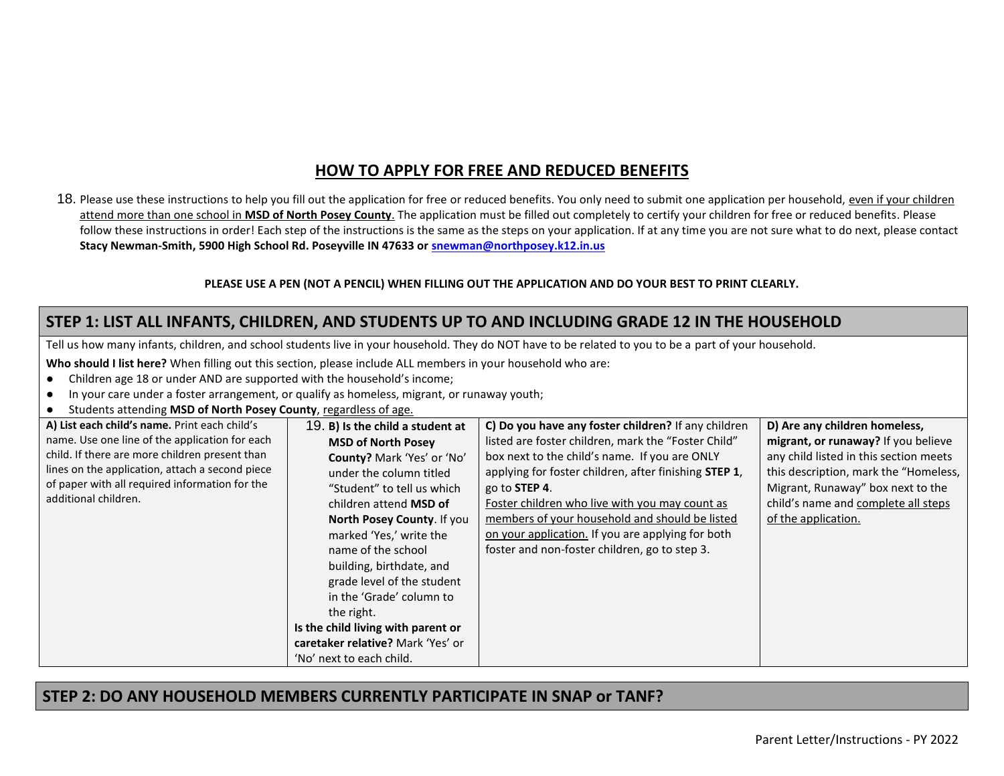# **HOW TO APPLY FOR FREE AND REDUCED BENEFITS**

18. Please use these instructions to help you fill out the application for free or reduced benefits. You only need to submit one application per household, even if your children attend more than one school in **MSD of North Posey County**. The application must be filled out completely to certify your children for free or reduced benefits. Please follow these instructions in order! Each step of the instructions is the same as the steps on your application. If at any time you are not sure what to do next, please contact **Stacy Newman-Smith, 5900 High School Rd. Poseyville IN 47633 or [snewman@northposey.k12.in.us](mailto:snewman@northposey.k12.in.us)**

#### **PLEASE USE A PEN (NOT A PENCIL) WHEN FILLING OUT THE APPLICATION AND DO YOUR BEST TO PRINT CLEARLY.**

## **STEP 1: LIST ALL INFANTS, CHILDREN, AND STUDENTS UP TO AND INCLUDING GRADE 12 IN THE HOUSEHOLD**

Tell us how many infants, children, and school students live in your household. They do NOT have to be related to you to be a part of your household.

**Who should I list here?** When filling out this section, please include ALL members in your household who are:

- Children age 18 or under AND are supported with the household's income;
- In your care under a foster arrangement, or qualify as homeless, migrant, or runaway youth;
- Students attending **MSD of North Posey County**, regardless of age.

| A) List each child's name. Print each child's                                                                                                                               | 19. B) is the child a student at                                                                                                                                                                                                                                                          | C) Do you have any foster children? If any children                                                                                                                                                                                                                                                                               | D) Are any children homeless,                                                                                                                                                      |
|-----------------------------------------------------------------------------------------------------------------------------------------------------------------------------|-------------------------------------------------------------------------------------------------------------------------------------------------------------------------------------------------------------------------------------------------------------------------------------------|-----------------------------------------------------------------------------------------------------------------------------------------------------------------------------------------------------------------------------------------------------------------------------------------------------------------------------------|------------------------------------------------------------------------------------------------------------------------------------------------------------------------------------|
| name. Use one line of the application for each                                                                                                                              | <b>MSD of North Posey</b>                                                                                                                                                                                                                                                                 | listed are foster children, mark the "Foster Child"                                                                                                                                                                                                                                                                               | migrant, or runaway? If you believe                                                                                                                                                |
| child. If there are more children present than<br>lines on the application, attach a second piece<br>of paper with all required information for the<br>additional children. | County? Mark 'Yes' or 'No'<br>under the column titled<br>"Student" to tell us which<br>children attend <b>MSD</b> of<br>North Posey County. If you<br>marked 'Yes,' write the<br>name of the school<br>building, birthdate, and<br>grade level of the student<br>in the 'Grade' column to | box next to the child's name. If you are ONLY<br>applying for foster children, after finishing STEP 1,<br>go to STEP 4.<br>Foster children who live with you may count as<br>members of your household and should be listed<br>on your application. If you are applying for both<br>foster and non-foster children, go to step 3. | any child listed in this section meets<br>this description, mark the "Homeless,<br>Migrant, Runaway" box next to the<br>child's name and complete all steps<br>of the application. |
|                                                                                                                                                                             | the right.                                                                                                                                                                                                                                                                                |                                                                                                                                                                                                                                                                                                                                   |                                                                                                                                                                                    |
|                                                                                                                                                                             | Is the child living with parent or                                                                                                                                                                                                                                                        |                                                                                                                                                                                                                                                                                                                                   |                                                                                                                                                                                    |
|                                                                                                                                                                             | caretaker relative? Mark 'Yes' or                                                                                                                                                                                                                                                         |                                                                                                                                                                                                                                                                                                                                   |                                                                                                                                                                                    |
|                                                                                                                                                                             | 'No' next to each child.                                                                                                                                                                                                                                                                  |                                                                                                                                                                                                                                                                                                                                   |                                                                                                                                                                                    |

### **STEP 2: DO ANY HOUSEHOLD MEMBERS CURRENTLY PARTICIPATE IN SNAP or TANF?**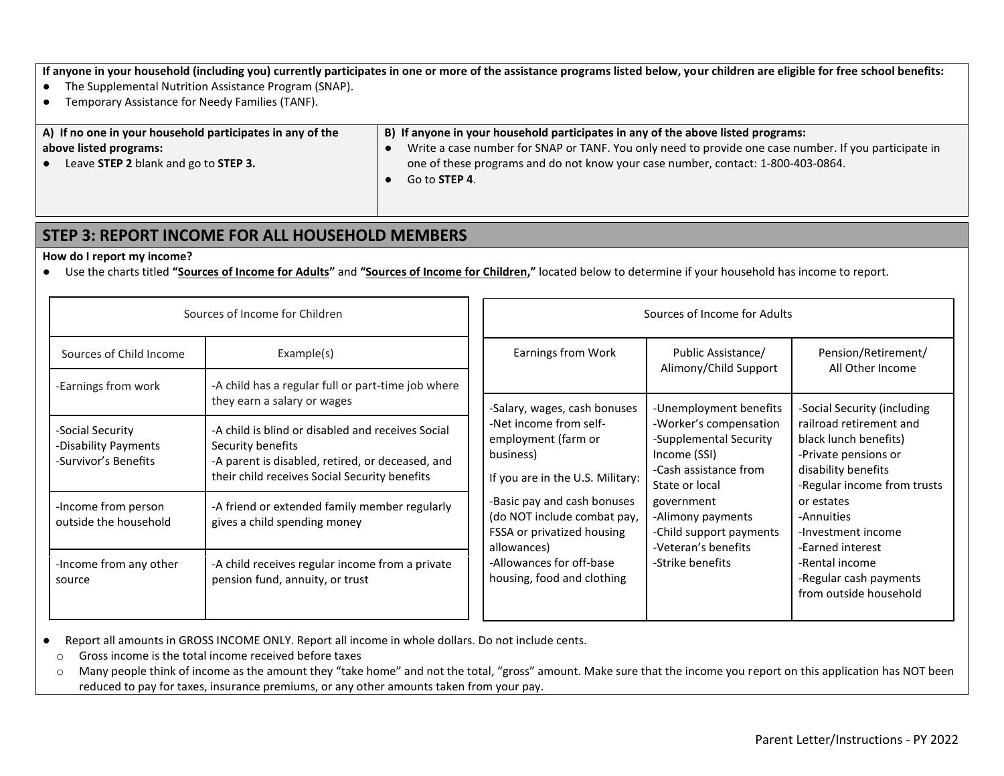**If anyone in your household (including you) currently participates in one or more of the assistance programs listed below, your children are eligible for free school benefits:**

- The Supplemental Nutrition Assistance Program (SNAP).
- Temporary Assistance for Needy Families (TANF).

#### **A) If no one in your household participates in any of the above listed programs:** ● Leave **STEP 2** blank and go to **STEP 3.**

#### **B) If anyone in your household participates in any of the above listed programs:**

- Write a case number for SNAP or TANF. You only need to provide one case number. If you participate in one of these programs and do not know your case number, contact: 1-800-403-0864.
- Go to **STEP 4**.

### **STEP 3: REPORT INCOME FOR ALL HOUSEHOLD MEMBERS**

#### **How do I report my income?**

● Use the charts titled **"Sources of Income for Adults"** and **"Sources of Income for Children,"** located below to determine if your household has income to report.

| Sources of Income for Children                                   |                                                                                                                                                                             | Sources of Income for Adults                                                                                                                                                                                                                                        |                                                                                                                                                                                                                      |                                                                                                                                                                                                                                                                            |
|------------------------------------------------------------------|-----------------------------------------------------------------------------------------------------------------------------------------------------------------------------|---------------------------------------------------------------------------------------------------------------------------------------------------------------------------------------------------------------------------------------------------------------------|----------------------------------------------------------------------------------------------------------------------------------------------------------------------------------------------------------------------|----------------------------------------------------------------------------------------------------------------------------------------------------------------------------------------------------------------------------------------------------------------------------|
| Sources of Child Income<br>-Earnings from work                   | Example(s)<br>-A child has a regular full or part-time job where                                                                                                            | Earnings from Work                                                                                                                                                                                                                                                  | Public Assistance/<br>Alimony/Child Support                                                                                                                                                                          | Pension/Retirement/<br>All Other Income                                                                                                                                                                                                                                    |
|                                                                  | they earn a salary or wages                                                                                                                                                 | -Salary, wages, cash bonuses                                                                                                                                                                                                                                        | -Unemployment benefits                                                                                                                                                                                               | -Social Security (including                                                                                                                                                                                                                                                |
| -Social Security<br>-Disability Payments<br>-Survivor's Benefits | -A child is blind or disabled and receives Social<br>Security benefits<br>-A parent is disabled, retired, or deceased, and<br>their child receives Social Security benefits | -Net income from self-<br>employment (farm or<br>business)<br>If you are in the U.S. Military:<br>-Basic pay and cash bonuses<br>(do NOT include combat pay,<br>FSSA or privatized housing<br>allowances)<br>-Allowances for off-base<br>housing, food and clothing | -Worker's compensation<br>-Supplemental Security<br>Income (SSI)<br>-Cash assistance from<br>State or local<br>government<br>-Alimony payments<br>-Child support payments<br>-Veteran's benefits<br>-Strike benefits | railroad retirement and<br>black lunch benefits)<br>-Private pensions or<br>disability benefits<br>-Regular income from trusts<br>or estates<br>-Annuities<br>-Investment income<br>-Earned interest<br>-Rental income<br>-Regular cash payments<br>from outside household |
| -Income from person<br>outside the household                     | -A friend or extended family member regularly<br>gives a child spending money                                                                                               |                                                                                                                                                                                                                                                                     |                                                                                                                                                                                                                      |                                                                                                                                                                                                                                                                            |
| -Income from any other<br>source                                 | -A child receives regular income from a private<br>pension fund, annuity, or trust                                                                                          |                                                                                                                                                                                                                                                                     |                                                                                                                                                                                                                      |                                                                                                                                                                                                                                                                            |

● Report all amounts in GROSS INCOME ONLY. Report all income in whole dollars. Do not include cents.

- o Gross income is the total income received before taxes
- o Many people think of income as the amount they "take home" and not the total, "gross" amount. Make sure that the income you report on this application has NOT been reduced to pay for taxes, insurance premiums, or any other amounts taken from your pay.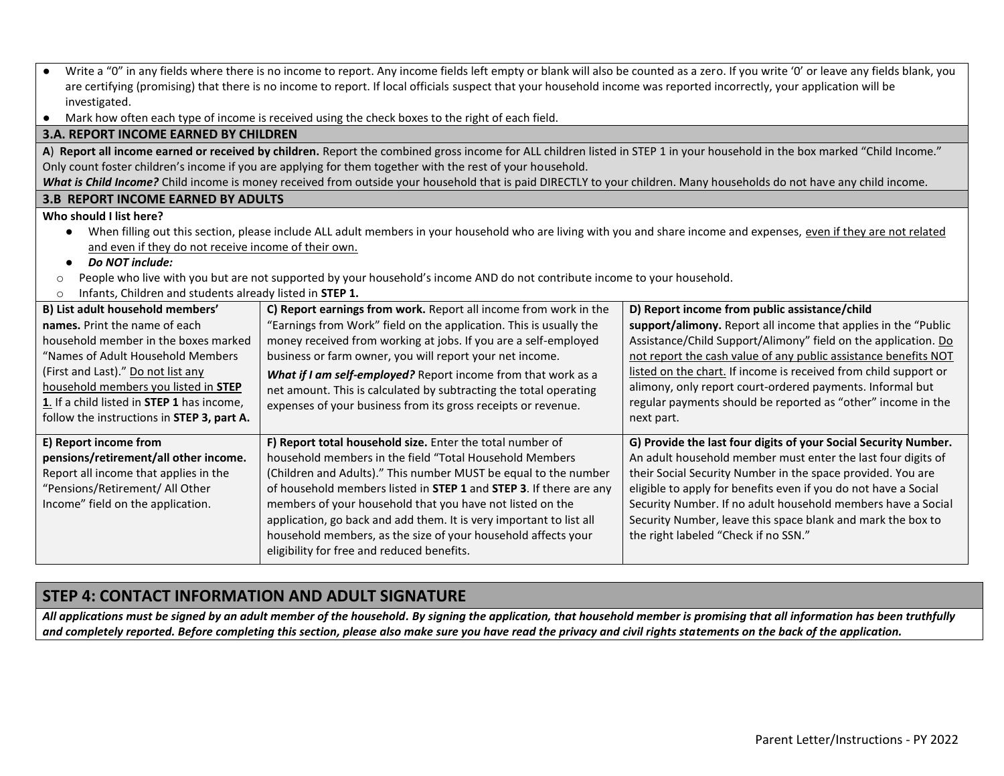| Write a "0" in any fields where there is no income to report. Any income fields left empty or blank will also be counted as a zero. If you write '0' or leave any fields blank, you<br>$\bullet$<br>are certifying (promising) that there is no income to report. If local officials suspect that your household income was reported incorrectly, your application will be |                                                                                                                                                                             |                                                                  |  |  |
|----------------------------------------------------------------------------------------------------------------------------------------------------------------------------------------------------------------------------------------------------------------------------------------------------------------------------------------------------------------------------|-----------------------------------------------------------------------------------------------------------------------------------------------------------------------------|------------------------------------------------------------------|--|--|
| investigated.                                                                                                                                                                                                                                                                                                                                                              |                                                                                                                                                                             |                                                                  |  |  |
| $\bullet$                                                                                                                                                                                                                                                                                                                                                                  | Mark how often each type of income is received using the check boxes to the right of each field.                                                                            |                                                                  |  |  |
| <b>3.A. REPORT INCOME EARNED BY CHILDREN</b>                                                                                                                                                                                                                                                                                                                               |                                                                                                                                                                             |                                                                  |  |  |
|                                                                                                                                                                                                                                                                                                                                                                            | A) Report all income earned or received by children. Report the combined gross income for ALL children listed in STEP 1 in your household in the box marked "Child Income." |                                                                  |  |  |
|                                                                                                                                                                                                                                                                                                                                                                            | Only count foster children's income if you are applying for them together with the rest of your household.                                                                  |                                                                  |  |  |
|                                                                                                                                                                                                                                                                                                                                                                            | What is Child Income? Child income is money received from outside your household that is paid DIRECTLY to your children. Many households do not have any child income.      |                                                                  |  |  |
| <b>3.B REPORT INCOME EARNED BY ADULTS</b>                                                                                                                                                                                                                                                                                                                                  |                                                                                                                                                                             |                                                                  |  |  |
| Who should I list here?                                                                                                                                                                                                                                                                                                                                                    |                                                                                                                                                                             |                                                                  |  |  |
| $\bullet$                                                                                                                                                                                                                                                                                                                                                                  | When filling out this section, please include ALL adult members in your household who are living with you and share income and expenses, even if they are not related       |                                                                  |  |  |
| and even if they do not receive income of their own.                                                                                                                                                                                                                                                                                                                       |                                                                                                                                                                             |                                                                  |  |  |
| Do NOT include:<br>$\bullet$                                                                                                                                                                                                                                                                                                                                               |                                                                                                                                                                             |                                                                  |  |  |
| $\circ$                                                                                                                                                                                                                                                                                                                                                                    | People who live with you but are not supported by your household's income AND do not contribute income to your household.                                                   |                                                                  |  |  |
| Infants, Children and students already listed in STEP 1.<br>$\circ$                                                                                                                                                                                                                                                                                                        |                                                                                                                                                                             |                                                                  |  |  |
| B) List adult household members'                                                                                                                                                                                                                                                                                                                                           | C) Report earnings from work. Report all income from work in the                                                                                                            | D) Report income from public assistance/child                    |  |  |
| names. Print the name of each                                                                                                                                                                                                                                                                                                                                              | "Earnings from Work" field on the application. This is usually the                                                                                                          | support/alimony. Report all income that applies in the "Public   |  |  |
| household member in the boxes marked                                                                                                                                                                                                                                                                                                                                       | money received from working at jobs. If you are a self-employed                                                                                                             | Assistance/Child Support/Alimony" field on the application. Do   |  |  |
| "Names of Adult Household Members                                                                                                                                                                                                                                                                                                                                          | business or farm owner, you will report your net income.                                                                                                                    | not report the cash value of any public assistance benefits NOT  |  |  |
| (First and Last)." Do not list any                                                                                                                                                                                                                                                                                                                                         | What if I am self-employed? Report income from that work as a                                                                                                               | listed on the chart. If income is received from child support or |  |  |
| household members you listed in STEP                                                                                                                                                                                                                                                                                                                                       | net amount. This is calculated by subtracting the total operating                                                                                                           | alimony, only report court-ordered payments. Informal but        |  |  |
| 1. If a child listed in STEP 1 has income,                                                                                                                                                                                                                                                                                                                                 | regular payments should be reported as "other" income in the<br>expenses of your business from its gross receipts or revenue.                                               |                                                                  |  |  |
| follow the instructions in STEP 3, part A.                                                                                                                                                                                                                                                                                                                                 |                                                                                                                                                                             | next part.                                                       |  |  |
| E) Report income from                                                                                                                                                                                                                                                                                                                                                      | F) Report total household size. Enter the total number of                                                                                                                   | G) Provide the last four digits of your Social Security Number.  |  |  |
| pensions/retirement/all other income.                                                                                                                                                                                                                                                                                                                                      | household members in the field "Total Household Members                                                                                                                     | An adult household member must enter the last four digits of     |  |  |
| Report all income that applies in the                                                                                                                                                                                                                                                                                                                                      | (Children and Adults)." This number MUST be equal to the number                                                                                                             | their Social Security Number in the space provided. You are      |  |  |
| "Pensions/Retirement/ All Other                                                                                                                                                                                                                                                                                                                                            | of household members listed in STEP 1 and STEP 3. If there are any                                                                                                          | eligible to apply for benefits even if you do not have a Social  |  |  |
| Income" field on the application.                                                                                                                                                                                                                                                                                                                                          | members of your household that you have not listed on the                                                                                                                   | Security Number. If no adult household members have a Social     |  |  |
|                                                                                                                                                                                                                                                                                                                                                                            | application, go back and add them. It is very important to list all                                                                                                         | Security Number, leave this space blank and mark the box to      |  |  |
|                                                                                                                                                                                                                                                                                                                                                                            | household members, as the size of your household affects your                                                                                                               | the right labeled "Check if no SSN."                             |  |  |
| eligibility for free and reduced benefits.                                                                                                                                                                                                                                                                                                                                 |                                                                                                                                                                             |                                                                  |  |  |

## **STEP 4: CONTACT INFORMATION AND ADULT SIGNATURE**

*All applications must be signed by an adult member of the household. By signing the application, that household member is promising that all information has been truthfully and completely reported. Before completing this section, please also make sure you have read the privacy and civil rights statements on the back of the application.*